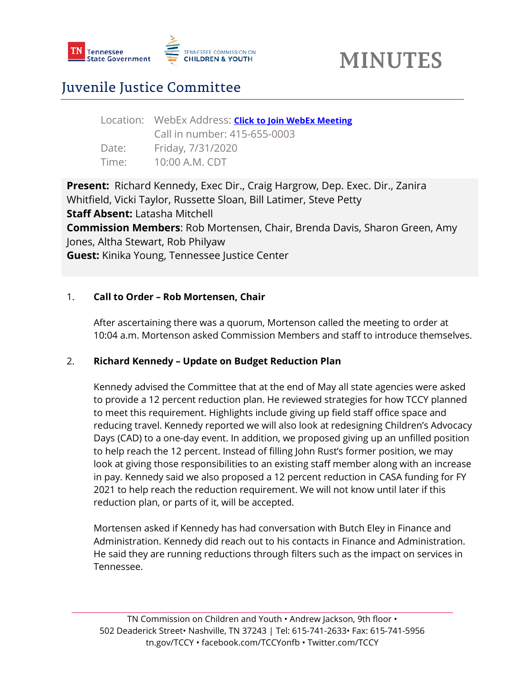

### Juvenile Justice Committee

|       | Location: WebEx Address: <b>Click to Join WebEx Meeting</b> |
|-------|-------------------------------------------------------------|
|       | Call in number: 415-655-0003                                |
| Date: | Friday, 7/31/2020                                           |
| Time: | 10:00 A.M. CDT                                              |

**Present:** Richard Kennedy, Exec Dir., Craig Hargrow, Dep. Exec. Dir., Zanira Whitfield, Vicki Taylor, Russette Sloan, Bill Latimer, Steve Petty **Staff Absent:** Latasha Mitchell **Commission Members**: Rob Mortensen, Chair, Brenda Davis, Sharon Green, Amy Jones, Altha Stewart, Rob Philyaw **Guest:** Kinika Young, Tennessee Justice Center

#### 1. **Call to Order – Rob Mortensen, Chair**

After ascertaining there was a quorum, Mortenson called the meeting to order at 10:04 a.m. Mortenson asked Commission Members and staff to introduce themselves.

#### 2. **Richard Kennedy – Update on Budget Reduction Plan**

Kennedy advised the Committee that at the end of May all state agencies were asked to provide a 12 percent reduction plan. He reviewed strategies for how TCCY planned to meet this requirement. Highlights include giving up field staff office space and reducing travel. Kennedy reported we will also look at redesigning Children's Advocacy Days (CAD) to a one-day event. In addition, we proposed giving up an unfilled position to help reach the 12 percent. Instead of filling John Rust's former position, we may look at giving those responsibilities to an existing staff member along with an increase in pay. Kennedy said we also proposed a 12 percent reduction in CASA funding for FY 2021 to help reach the reduction requirement. We will not know until later if this reduction plan, or parts of it, will be accepted.

Mortensen asked if Kennedy has had conversation with Butch Eley in Finance and Administration. Kennedy did reach out to his contacts in Finance and Administration. He said they are running reductions through filters such as the impact on services in Tennessee.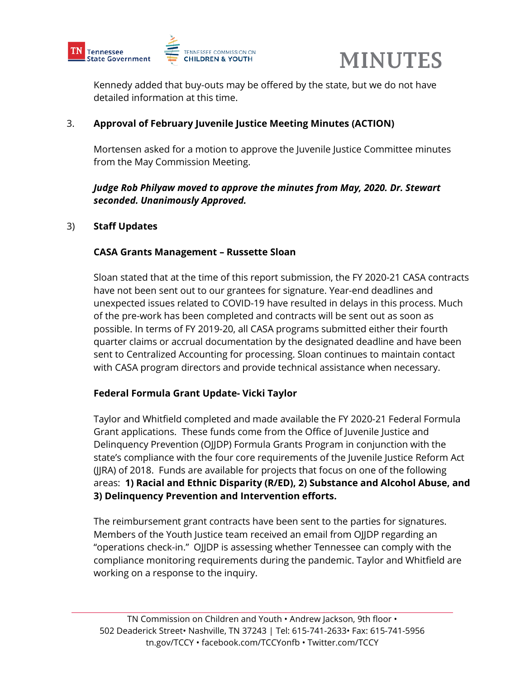



Kennedy added that buy-outs may be offered by the state, but we do not have detailed information at this time.

#### 3. **Approval of February Juvenile Justice Meeting Minutes (ACTION)**

Mortensen asked for a motion to approve the Juvenile Justice Committee minutes from the May Commission Meeting.

*Judge Rob Philyaw moved to approve the minutes from May, 2020. Dr. Stewart seconded. Unanimously Approved.*

#### 3) **Staff Updates**

#### **CASA Grants Management – Russette Sloan**

Sloan stated that at the time of this report submission, the FY 2020-21 CASA contracts have not been sent out to our grantees for signature. Year-end deadlines and unexpected issues related to COVID-19 have resulted in delays in this process. Much of the pre-work has been completed and contracts will be sent out as soon as possible. In terms of FY 2019-20, all CASA programs submitted either their fourth quarter claims or accrual documentation by the designated deadline and have been sent to Centralized Accounting for processing. Sloan continues to maintain contact with CASA program directors and provide technical assistance when necessary.

#### **Federal Formula Grant Update- Vicki Taylor**

Taylor and Whitfield completed and made available the FY 2020-21 Federal Formula Grant applications. These funds come from the Office of Juvenile Justice and Delinquency Prevention (OJJDP) Formula Grants Program in conjunction with the state's compliance with the four core requirements of the Juvenile Justice Reform Act (JJRA) of 2018. Funds are available for projects that focus on one of the following areas: **1) Racial and Ethnic Disparity (R/ED), 2) Substance and Alcohol Abuse, and 3) Delinquency Prevention and Intervention efforts.** 

The reimbursement grant contracts have been sent to the parties for signatures. Members of the Youth Justice team received an email from OJJDP regarding an "operations check-in." OJJDP is assessing whether Tennessee can comply with the compliance monitoring requirements during the pandemic. Taylor and Whitfield are working on a response to the inquiry.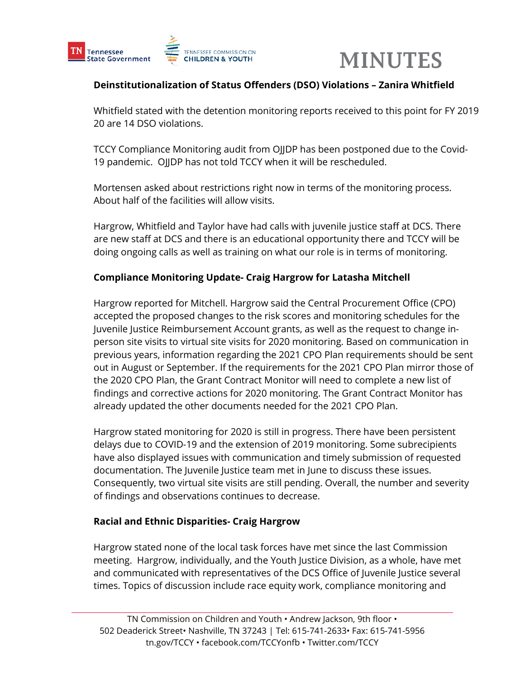

#### **Deinstitutionalization of Status Offenders (DSO) Violations – Zanira Whitfield**

Whitfield stated with the detention monitoring reports received to this point for FY 2019 20 are 14 DSO violations.

TCCY Compliance Monitoring audit from OJJDP has been postponed due to the Covid-19 pandemic. OJJDP has not told TCCY when it will be rescheduled.

Mortensen asked about restrictions right now in terms of the monitoring process. About half of the facilities will allow visits.

Hargrow, Whitfield and Taylor have had calls with juvenile justice staff at DCS. There are new staff at DCS and there is an educational opportunity there and TCCY will be doing ongoing calls as well as training on what our role is in terms of monitoring.

#### **Compliance Monitoring Update- Craig Hargrow for Latasha Mitchell**

Hargrow reported for Mitchell. Hargrow said the Central Procurement Office (CPO) accepted the proposed changes to the risk scores and monitoring schedules for the Juvenile Justice Reimbursement Account grants, as well as the request to change inperson site visits to virtual site visits for 2020 monitoring. Based on communication in previous years, information regarding the 2021 CPO Plan requirements should be sent out in August or September. If the requirements for the 2021 CPO Plan mirror those of the 2020 CPO Plan, the Grant Contract Monitor will need to complete a new list of findings and corrective actions for 2020 monitoring. The Grant Contract Monitor has already updated the other documents needed for the 2021 CPO Plan.

Hargrow stated monitoring for 2020 is still in progress. There have been persistent delays due to COVID-19 and the extension of 2019 monitoring. Some subrecipients have also displayed issues with communication and timely submission of requested documentation. The Juvenile Justice team met in June to discuss these issues. Consequently, two virtual site visits are still pending. Overall, the number and severity of findings and observations continues to decrease.

#### **Racial and Ethnic Disparities- Craig Hargrow**

Hargrow stated none of the local task forces have met since the last Commission meeting. Hargrow, individually, and the Youth Justice Division, as a whole, have met and communicated with representatives of the DCS Office of Juvenile Justice several times. Topics of discussion include race equity work, compliance monitoring and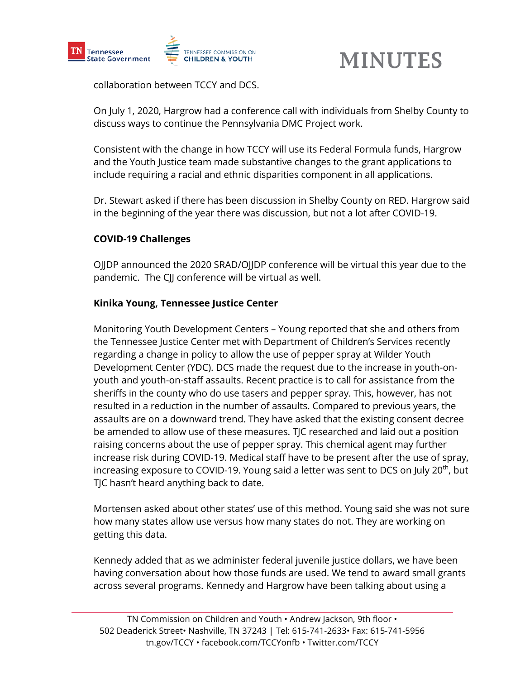

collaboration between TCCY and DCS.

On July 1, 2020, Hargrow had a conference call with individuals from Shelby County to discuss ways to continue the Pennsylvania DMC Project work.

Consistent with the change in how TCCY will use its Federal Formula funds, Hargrow and the Youth Justice team made substantive changes to the grant applications to include requiring a racial and ethnic disparities component in all applications.

Dr. Stewart asked if there has been discussion in Shelby County on RED. Hargrow said in the beginning of the year there was discussion, but not a lot after COVID-19.

#### **COVID-19 Challenges**

OJJDP announced the 2020 SRAD/OJJDP conference will be virtual this year due to the pandemic. The CJJ conference will be virtual as well.

#### **Kinika Young, Tennessee Justice Center**

Monitoring Youth Development Centers – Young reported that she and others from the Tennessee Justice Center met with Department of Children's Services recently regarding a change in policy to allow the use of pepper spray at Wilder Youth Development Center (YDC). DCS made the request due to the increase in youth-onyouth and youth-on-staff assaults. Recent practice is to call for assistance from the sheriffs in the county who do use tasers and pepper spray. This, however, has not resulted in a reduction in the number of assaults. Compared to previous years, the assaults are on a downward trend. They have asked that the existing consent decree be amended to allow use of these measures. TJC researched and laid out a position raising concerns about the use of pepper spray. This chemical agent may further increase risk during COVID-19. Medical staff have to be present after the use of spray, increasing exposure to COVID-19. Young said a letter was sent to DCS on July  $20<sup>th</sup>$ , but TJC hasn't heard anything back to date.

Mortensen asked about other states' use of this method. Young said she was not sure how many states allow use versus how many states do not. They are working on getting this data.

Kennedy added that as we administer federal juvenile justice dollars, we have been having conversation about how those funds are used. We tend to award small grants across several programs. Kennedy and Hargrow have been talking about using a